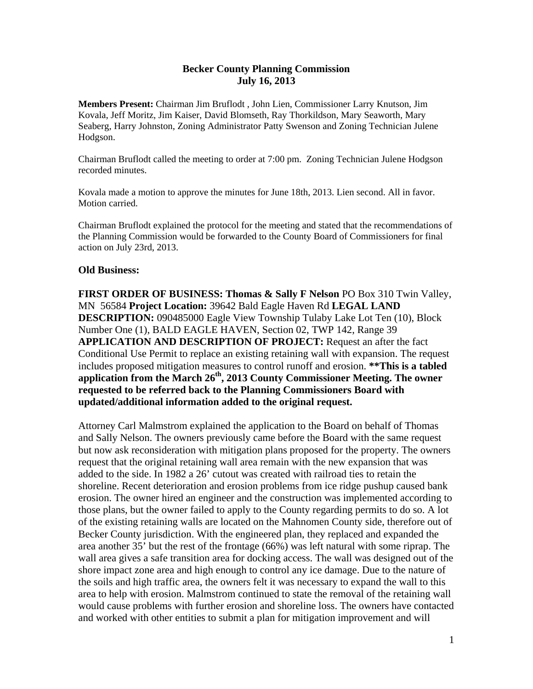## **Becker County Planning Commission July 16, 2013**

**Members Present:** Chairman Jim Bruflodt , John Lien, Commissioner Larry Knutson, Jim Kovala, Jeff Moritz, Jim Kaiser, David Blomseth, Ray Thorkildson, Mary Seaworth, Mary Seaberg, Harry Johnston, Zoning Administrator Patty Swenson and Zoning Technician Julene Hodgson.

Chairman Bruflodt called the meeting to order at 7:00 pm. Zoning Technician Julene Hodgson recorded minutes.

Kovala made a motion to approve the minutes for June 18th, 2013. Lien second. All in favor. Motion carried.

Chairman Bruflodt explained the protocol for the meeting and stated that the recommendations of the Planning Commission would be forwarded to the County Board of Commissioners for final action on July 23rd, 2013.

## **Old Business:**

**FIRST ORDER OF BUSINESS: Thomas & Sally F Nelson** PO Box 310 Twin Valley, MN 56584 **Project Location:** 39642 Bald Eagle Haven Rd **LEGAL LAND DESCRIPTION:** 090485000 Eagle View Township Tulaby Lake Lot Ten (10), Block Number One (1), BALD EAGLE HAVEN, Section 02, TWP 142, Range 39 **APPLICATION AND DESCRIPTION OF PROJECT:** Request an after the fact Conditional Use Permit to replace an existing retaining wall with expansion. The request includes proposed mitigation measures to control runoff and erosion. **\*\*This is a tabled application from the March 26th, 2013 County Commissioner Meeting. The owner requested to be referred back to the Planning Commissioners Board with updated/additional information added to the original request.** 

Attorney Carl Malmstrom explained the application to the Board on behalf of Thomas and Sally Nelson. The owners previously came before the Board with the same request but now ask reconsideration with mitigation plans proposed for the property. The owners request that the original retaining wall area remain with the new expansion that was added to the side. In 1982 a 26' cutout was created with railroad ties to retain the shoreline. Recent deterioration and erosion problems from ice ridge pushup caused bank erosion. The owner hired an engineer and the construction was implemented according to those plans, but the owner failed to apply to the County regarding permits to do so. A lot of the existing retaining walls are located on the Mahnomen County side, therefore out of Becker County jurisdiction. With the engineered plan, they replaced and expanded the area another 35' but the rest of the frontage (66%) was left natural with some riprap. The wall area gives a safe transition area for docking access. The wall was designed out of the shore impact zone area and high enough to control any ice damage. Due to the nature of the soils and high traffic area, the owners felt it was necessary to expand the wall to this area to help with erosion. Malmstrom continued to state the removal of the retaining wall would cause problems with further erosion and shoreline loss. The owners have contacted and worked with other entities to submit a plan for mitigation improvement and will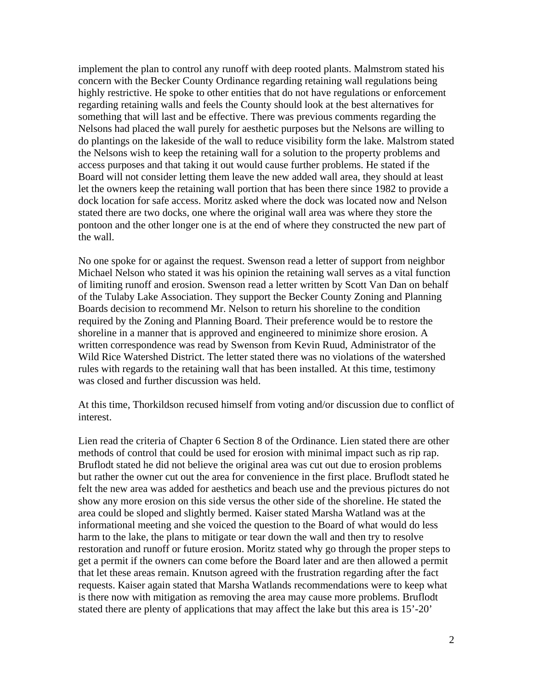implement the plan to control any runoff with deep rooted plants. Malmstrom stated his concern with the Becker County Ordinance regarding retaining wall regulations being highly restrictive. He spoke to other entities that do not have regulations or enforcement regarding retaining walls and feels the County should look at the best alternatives for something that will last and be effective. There was previous comments regarding the Nelsons had placed the wall purely for aesthetic purposes but the Nelsons are willing to do plantings on the lakeside of the wall to reduce visibility form the lake. Malstrom stated the Nelsons wish to keep the retaining wall for a solution to the property problems and access purposes and that taking it out would cause further problems. He stated if the Board will not consider letting them leave the new added wall area, they should at least let the owners keep the retaining wall portion that has been there since 1982 to provide a dock location for safe access. Moritz asked where the dock was located now and Nelson stated there are two docks, one where the original wall area was where they store the pontoon and the other longer one is at the end of where they constructed the new part of the wall.

No one spoke for or against the request. Swenson read a letter of support from neighbor Michael Nelson who stated it was his opinion the retaining wall serves as a vital function of limiting runoff and erosion. Swenson read a letter written by Scott Van Dan on behalf of the Tulaby Lake Association. They support the Becker County Zoning and Planning Boards decision to recommend Mr. Nelson to return his shoreline to the condition required by the Zoning and Planning Board. Their preference would be to restore the shoreline in a manner that is approved and engineered to minimize shore erosion. A written correspondence was read by Swenson from Kevin Ruud, Administrator of the Wild Rice Watershed District. The letter stated there was no violations of the watershed rules with regards to the retaining wall that has been installed. At this time, testimony was closed and further discussion was held.

At this time, Thorkildson recused himself from voting and/or discussion due to conflict of interest.

Lien read the criteria of Chapter 6 Section 8 of the Ordinance. Lien stated there are other methods of control that could be used for erosion with minimal impact such as rip rap. Bruflodt stated he did not believe the original area was cut out due to erosion problems but rather the owner cut out the area for convenience in the first place. Bruflodt stated he felt the new area was added for aesthetics and beach use and the previous pictures do not show any more erosion on this side versus the other side of the shoreline. He stated the area could be sloped and slightly bermed. Kaiser stated Marsha Watland was at the informational meeting and she voiced the question to the Board of what would do less harm to the lake, the plans to mitigate or tear down the wall and then try to resolve restoration and runoff or future erosion. Moritz stated why go through the proper steps to get a permit if the owners can come before the Board later and are then allowed a permit that let these areas remain. Knutson agreed with the frustration regarding after the fact requests. Kaiser again stated that Marsha Watlands recommendations were to keep what is there now with mitigation as removing the area may cause more problems. Bruflodt stated there are plenty of applications that may affect the lake but this area is 15'-20'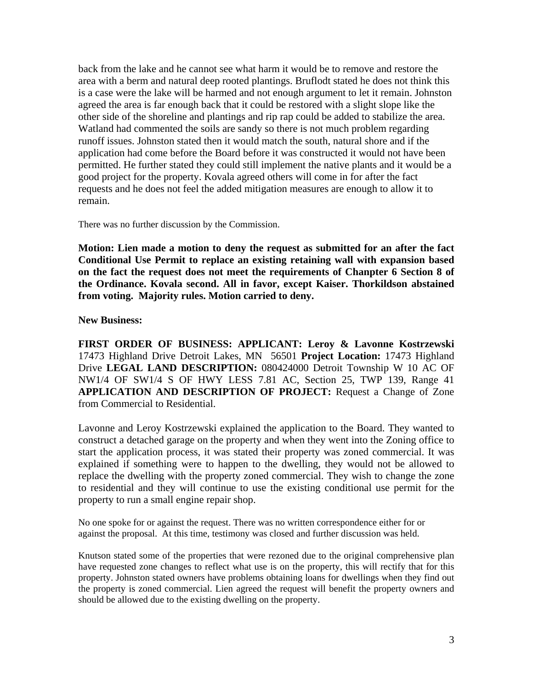back from the lake and he cannot see what harm it would be to remove and restore the area with a berm and natural deep rooted plantings. Bruflodt stated he does not think this is a case were the lake will be harmed and not enough argument to let it remain. Johnston agreed the area is far enough back that it could be restored with a slight slope like the other side of the shoreline and plantings and rip rap could be added to stabilize the area. Watland had commented the soils are sandy so there is not much problem regarding runoff issues. Johnston stated then it would match the south, natural shore and if the application had come before the Board before it was constructed it would not have been permitted. He further stated they could still implement the native plants and it would be a good project for the property. Kovala agreed others will come in for after the fact requests and he does not feel the added mitigation measures are enough to allow it to remain.

There was no further discussion by the Commission.

**Motion: Lien made a motion to deny the request as submitted for an after the fact Conditional Use Permit to replace an existing retaining wall with expansion based on the fact the request does not meet the requirements of Chanpter 6 Section 8 of the Ordinance. Kovala second. All in favor, except Kaiser. Thorkildson abstained from voting. Majority rules. Motion carried to deny.** 

## **New Business:**

**FIRST ORDER OF BUSINESS: APPLICANT: Leroy & Lavonne Kostrzewski** 17473 Highland Drive Detroit Lakes, MN 56501 **Project Location:** 17473 Highland Drive **LEGAL LAND DESCRIPTION:** 080424000 Detroit Township W 10 AC OF NW1/4 OF SW1/4 S OF HWY LESS 7.81 AC, Section 25, TWP 139, Range 41 **APPLICATION AND DESCRIPTION OF PROJECT:** Request a Change of Zone from Commercial to Residential.

Lavonne and Leroy Kostrzewski explained the application to the Board. They wanted to construct a detached garage on the property and when they went into the Zoning office to start the application process, it was stated their property was zoned commercial. It was explained if something were to happen to the dwelling, they would not be allowed to replace the dwelling with the property zoned commercial. They wish to change the zone to residential and they will continue to use the existing conditional use permit for the property to run a small engine repair shop.

No one spoke for or against the request. There was no written correspondence either for or against the proposal. At this time, testimony was closed and further discussion was held.

Knutson stated some of the properties that were rezoned due to the original comprehensive plan have requested zone changes to reflect what use is on the property, this will rectify that for this property. Johnston stated owners have problems obtaining loans for dwellings when they find out the property is zoned commercial. Lien agreed the request will benefit the property owners and should be allowed due to the existing dwelling on the property.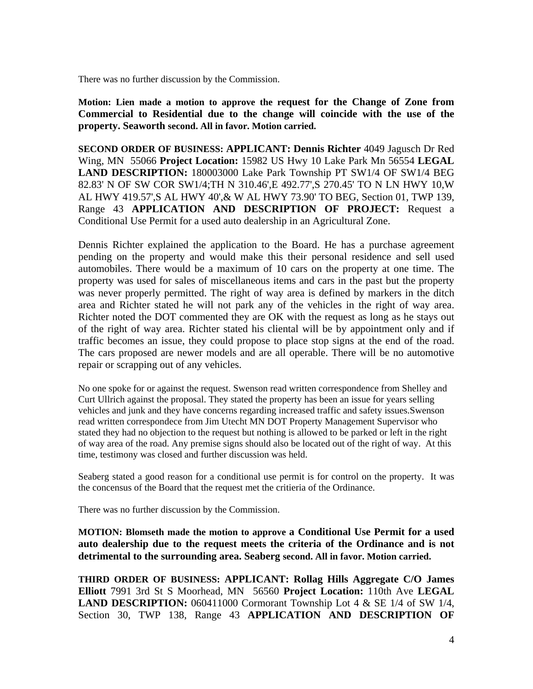There was no further discussion by the Commission.

**Motion: Lien made a motion to approve the request for the Change of Zone from Commercial to Residential due to the change will coincide with the use of the property. Seaworth second. All in favor. Motion carried.** 

**SECOND ORDER OF BUSINESS: APPLICANT: Dennis Richter** 4049 Jagusch Dr Red Wing, MN 55066 **Project Location:** 15982 US Hwy 10 Lake Park Mn 56554 **LEGAL LAND DESCRIPTION:** 180003000 Lake Park Township PT SW1/4 OF SW1/4 BEG 82.83' N OF SW COR SW1/4;TH N 310.46',E 492.77',S 270.45' TO N LN HWY 10,W AL HWY 419.57',S AL HWY 40',& W AL HWY 73.90' TO BEG, Section 01, TWP 139, Range 43 **APPLICATION AND DESCRIPTION OF PROJECT:** Request a Conditional Use Permit for a used auto dealership in an Agricultural Zone.

Dennis Richter explained the application to the Board. He has a purchase agreement pending on the property and would make this their personal residence and sell used automobiles. There would be a maximum of 10 cars on the property at one time. The property was used for sales of miscellaneous items and cars in the past but the property was never properly permitted. The right of way area is defined by markers in the ditch area and Richter stated he will not park any of the vehicles in the right of way area. Richter noted the DOT commented they are OK with the request as long as he stays out of the right of way area. Richter stated his cliental will be by appointment only and if traffic becomes an issue, they could propose to place stop signs at the end of the road. The cars proposed are newer models and are all operable. There will be no automotive repair or scrapping out of any vehicles.

No one spoke for or against the request. Swenson read written correspondence from Shelley and Curt Ullrich against the proposal. They stated the property has been an issue for years selling vehicles and junk and they have concerns regarding increased traffic and safety issues.Swenson read written correspondece from Jim Utecht MN DOT Property Management Supervisor who stated they had no objection to the request but nothing is allowed to be parked or left in the right of way area of the road. Any premise signs should also be located out of the right of way. At this time, testimony was closed and further discussion was held.

Seaberg stated a good reason for a conditional use permit is for control on the property. It was the concensus of the Board that the request met the critieria of the Ordinance.

There was no further discussion by the Commission.

**MOTION: Blomseth made the motion to approve a Conditional Use Permit for a used auto dealership due to the request meets the criteria of the Ordinance and is not detrimental to the surrounding area. Seaberg second. All in favor. Motion carried.** 

**THIRD ORDER OF BUSINESS: APPLICANT: Rollag Hills Aggregate C/O James Elliott** 7991 3rd St S Moorhead, MN 56560 **Project Location:** 110th Ave **LEGAL LAND DESCRIPTION:** 060411000 Cormorant Township Lot 4 & SE 1/4 of SW 1/4, Section 30, TWP 138, Range 43 **APPLICATION AND DESCRIPTION OF**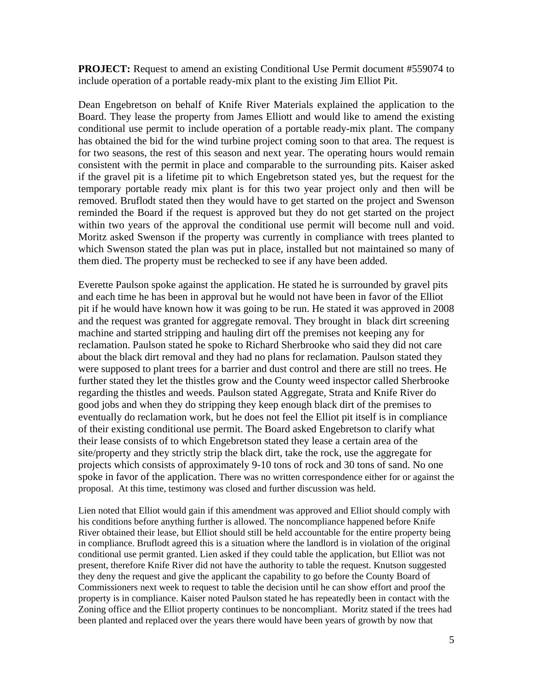**PROJECT:** Request to amend an existing Conditional Use Permit document #559074 to include operation of a portable ready-mix plant to the existing Jim Elliot Pit.

Dean Engebretson on behalf of Knife River Materials explained the application to the Board. They lease the property from James Elliott and would like to amend the existing conditional use permit to include operation of a portable ready-mix plant. The company has obtained the bid for the wind turbine project coming soon to that area. The request is for two seasons, the rest of this season and next year. The operating hours would remain consistent with the permit in place and comparable to the surrounding pits. Kaiser asked if the gravel pit is a lifetime pit to which Engebretson stated yes, but the request for the temporary portable ready mix plant is for this two year project only and then will be removed. Bruflodt stated then they would have to get started on the project and Swenson reminded the Board if the request is approved but they do not get started on the project within two years of the approval the conditional use permit will become null and void. Moritz asked Swenson if the property was currently in compliance with trees planted to which Swenson stated the plan was put in place, installed but not maintained so many of them died. The property must be rechecked to see if any have been added.

Everette Paulson spoke against the application. He stated he is surrounded by gravel pits and each time he has been in approval but he would not have been in favor of the Elliot pit if he would have known how it was going to be run. He stated it was approved in 2008 and the request was granted for aggregate removal. They brought in black dirt screening machine and started stripping and hauling dirt off the premises not keeping any for reclamation. Paulson stated he spoke to Richard Sherbrooke who said they did not care about the black dirt removal and they had no plans for reclamation. Paulson stated they were supposed to plant trees for a barrier and dust control and there are still no trees. He further stated they let the thistles grow and the County weed inspector called Sherbrooke regarding the thistles and weeds. Paulson stated Aggregate, Strata and Knife River do good jobs and when they do stripping they keep enough black dirt of the premises to eventually do reclamation work, but he does not feel the Elliot pit itself is in compliance of their existing conditional use permit. The Board asked Engebretson to clarify what their lease consists of to which Engebretson stated they lease a certain area of the site/property and they strictly strip the black dirt, take the rock, use the aggregate for projects which consists of approximately 9-10 tons of rock and 30 tons of sand. No one spoke in favor of the application. There was no written correspondence either for or against the proposal. At this time, testimony was closed and further discussion was held.

Lien noted that Elliot would gain if this amendment was approved and Elliot should comply with his conditions before anything further is allowed. The noncompliance happened before Knife River obtained their lease, but Elliot should still be held accountable for the entire property being in compliance. Bruflodt agreed this is a situation where the landlord is in violation of the original conditional use permit granted. Lien asked if they could table the application, but Elliot was not present, therefore Knife River did not have the authority to table the request. Knutson suggested they deny the request and give the applicant the capability to go before the County Board of Commissioners next week to request to table the decision until he can show effort and proof the property is in compliance. Kaiser noted Paulson stated he has repeatedly been in contact with the Zoning office and the Elliot property continues to be noncompliant. Moritz stated if the trees had been planted and replaced over the years there would have been years of growth by now that